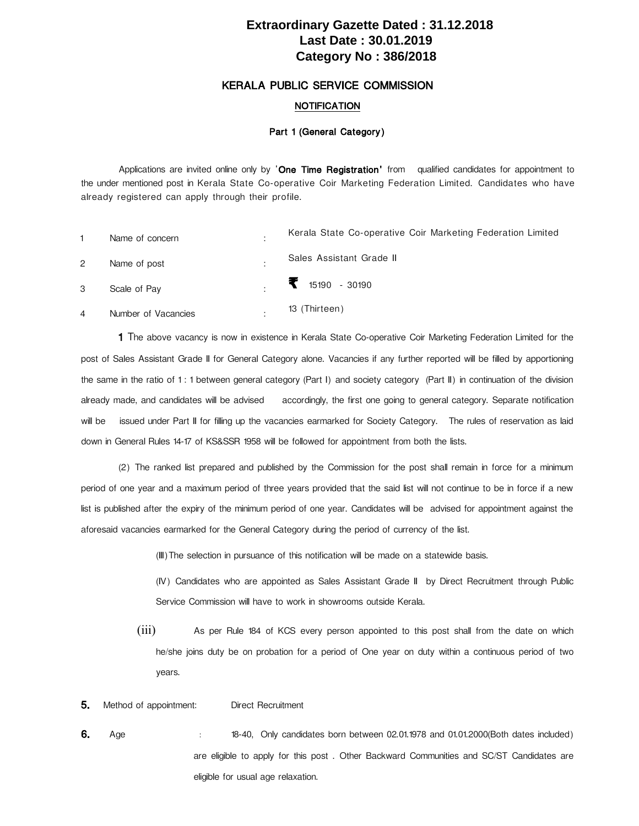# **Extraordinary Gazette Dated : 31.12.2018 Last Date : 30.01.2019 Category No : 386/2018**

## KERALA PUBLIC SERVICE COMMISSION

### **NOTIFICATION**

#### Part 1 (General Category)

Applications are invited online only by 'One Time Registration' from qualified candidates for appointment to the under mentioned post in Kerala State Co-operative Coir Marketing Federation Limited. Candidates who have already registered can apply through their profile.

|   | Name of concern     | Kerala State Co-operative Coir Marketing Federation Limited |
|---|---------------------|-------------------------------------------------------------|
| 2 | Name of post        | Sales Assistant Grade II                                    |
| 3 | Scale of Pay        | $\blacksquare$ 15190 - 30190                                |
| 4 | Number of Vacancies | 13 (Thirteen)                                               |

1 The above vacancy is now in existence in Kerala State Co-operative Coir Marketing Federation Limited for the post of Sales Assistant Grade II for General Category alone. Vacancies if any further reported will be filled by apportioning the same in the ratio of 1 : 1 between general category (Part I) and society category (Part II) in continuation of the division already made, and candidates will be advised accordingly, the first one going to general category. Separate notification will be issued under Part II for filling up the vacancies earmarked for Society Category. The rules of reservation as laid down in General Rules 14-17 of KS&SSR 1958 will be followed for appointment from both the lists.

(2) The ranked list prepared and published by the Commission for the post shall remain in force for a minimum period of one year and a maximum period of three years provided that the said list will not continue to be in force if a new list is published after the expiry of the minimum period of one year. Candidates will be advised for appointment against the aforesaid vacancies earmarked for the General Category during the period of currency of the list.

(III)The selection in pursuance of this notification will be made on a statewide basis.

(IV) Candidates who are appointed as Sales Assistant Grade II by Direct Recruitment through Public Service Commission will have to work in showrooms outside Kerala.

- (iii) As per Rule 184 of KCS every person appointed to this post shall from the date on which he/she joins duty be on probation for a period of One year on duty within a continuous period of two years.
- **5.** Method of appointment: Direct Recruitment
- 6. Age : 18-40, Only candidates born between 02.01.1978 and 01.01.2000(Both dates included) are eligible to apply for this post . Other Backward Communities and SC/ST Candidates are eligible for usual age relaxation.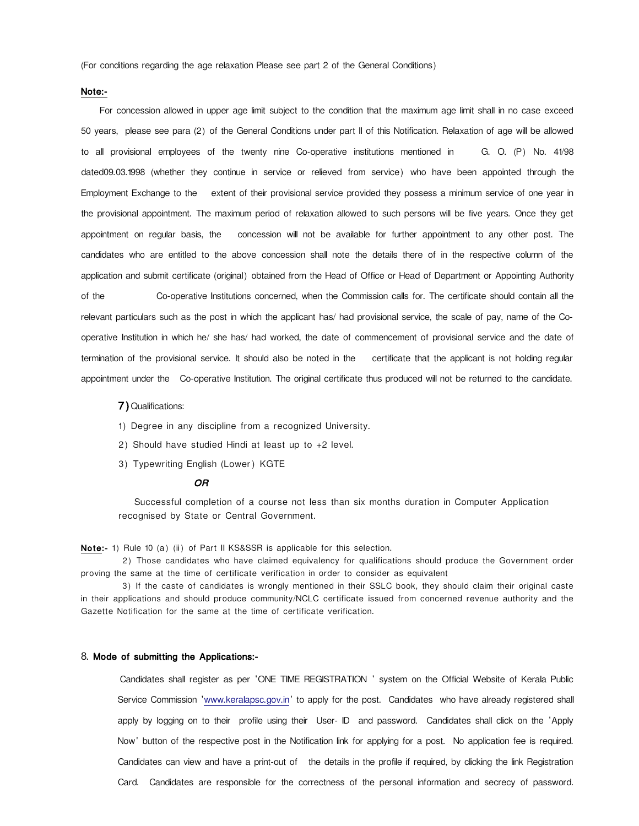(For conditions regarding the age relaxation Please see part 2 of the General Conditions)

## Note:-

For concession allowed in upper age limit subject to the condition that the maximum age limit shall in no case exceed 50 years, please see para (2) of the General Conditions under part II of this Notification. Relaxation of age will be allowed to all provisional employees of the twenty nine Co-operative institutions mentioned in G. O. (P) No. 41/98 dated09.03.1998 (whether they continue in service or relieved from service) who have been appointed through the Employment Exchange to the extent of their provisional service provided they possess a minimum service of one year in the provisional appointment. The maximum period of relaxation allowed to such persons will be five years. Once they get appointment on regular basis, the concession will not be available for further appointment to any other post. The candidates who are entitled to the above concession shall note the details there of in the respective column of the application and submit certificate (original) obtained from the Head of Office or Head of Department or Appointing Authority of the Co-operative Institutions concerned, when the Commission calls for. The certificate should contain all the relevant particulars such as the post in which the applicant has/ had provisional service, the scale of pay, name of the Cooperative Institution in which he/ she has/ had worked, the date of commencement of provisional service and the date of

termination of the provisional service. It should also be noted in the certificate that the applicant is not holding regular appointment under the Co-operative Institution. The original certificate thus produced will not be returned to the candidate.

#### 7) Qualifications:

- 1) Degree in any discipline from a recognized University.
- 2) Should have studied Hindi at least up to +2 level.
- 3) Typewriting English (Lower) KGTE

#### OR

 Successful completion of a course not less than six months duration in Computer Application recognised by State or Central Government.

Note:- 1) Rule 10 (a) (ii) of Part II KS&SSR is applicable for this selection.

 2) Those candidates who have claimed equivalency for qualifications should produce the Government order proving the same at the time of certificate verification in order to consider as equivalent

 3) If the caste of candidates is wrongly mentioned in their SSLC book, they should claim their original caste in their applications and should produce community/NCLC certificate issued from concerned revenue authority and the Gazette Notification for the same at the time of certificate verification.

#### 8. Mode of submitting the Applications:-

 Candidates shall register as per 'ONE TIME REGISTRATION ' system on the Official Website of Kerala Public Service Commission ['www.keralapsc.gov.in](http://www.keralapsc.gov.in/)' to apply for the post. Candidates who have already registered shall apply by logging on to their profile using their User- ID and password. Candidates shall click on the 'Apply Now' button of the respective post in the Notification link for applying for a post. No application fee is required. Candidates can view and have a print-out of the details in the profile if required, by clicking the link Registration Card. Candidates are responsible for the correctness of the personal information and secrecy of password.